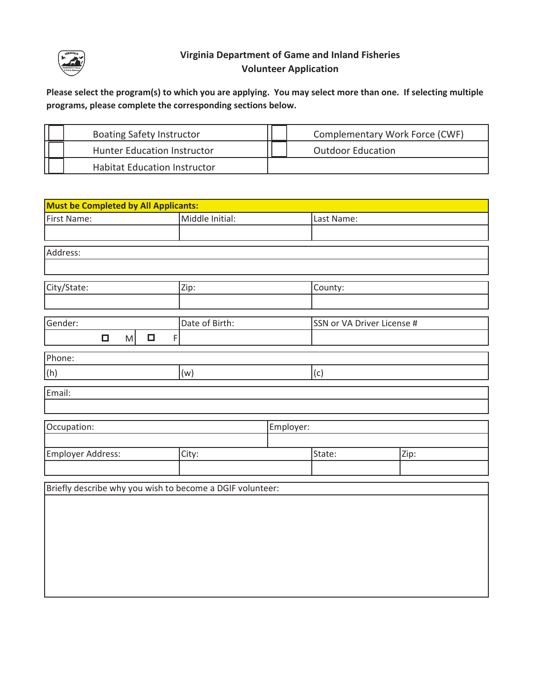

## **Virginia Department of Game and Inland Fisheries Volunteer Application**

**Please select the program(s) to which you are applying. You may select more than one. If selecting multiple programs, please complete the corresponding sections below.**

| <b>Boating Safety Instructor</b>    | Complementary Work Force (CWF) |  |
|-------------------------------------|--------------------------------|--|
| Hunter Education Instructor         | <b>Outdoor Education</b>       |  |
| <b>Habitat Education Instructor</b> |                                |  |

| <b>Must be Completed by All Applicants:</b>               |                 |           |                            |  |      |
|-----------------------------------------------------------|-----------------|-----------|----------------------------|--|------|
| First Name:                                               | Middle Initial: |           | Last Name:                 |  |      |
|                                                           |                 |           |                            |  |      |
| Address:                                                  |                 |           |                            |  |      |
|                                                           |                 |           |                            |  |      |
| City/State:                                               | Zip:            |           | County:                    |  |      |
|                                                           |                 |           |                            |  |      |
| Gender:                                                   | Date of Birth:  |           | SSN or VA Driver License # |  |      |
| $\Box$<br>$\Box$<br>M<br>$\mathsf F$                      |                 |           |                            |  |      |
| Phone:                                                    |                 |           |                            |  |      |
| (h)                                                       | (w)             |           | (c)                        |  |      |
| Email:                                                    |                 |           |                            |  |      |
|                                                           |                 |           |                            |  |      |
| Occupation:                                               |                 | Employer: |                            |  |      |
|                                                           |                 |           |                            |  |      |
| Employer Address:                                         | City:           |           | State:                     |  | Zip: |
|                                                           |                 |           |                            |  |      |
| Briefly describe why you wish to become a DGIF volunteer: |                 |           |                            |  |      |
|                                                           |                 |           |                            |  |      |
|                                                           |                 |           |                            |  |      |
|                                                           |                 |           |                            |  |      |
|                                                           |                 |           |                            |  |      |
|                                                           |                 |           |                            |  |      |
|                                                           |                 |           |                            |  |      |
|                                                           |                 |           |                            |  |      |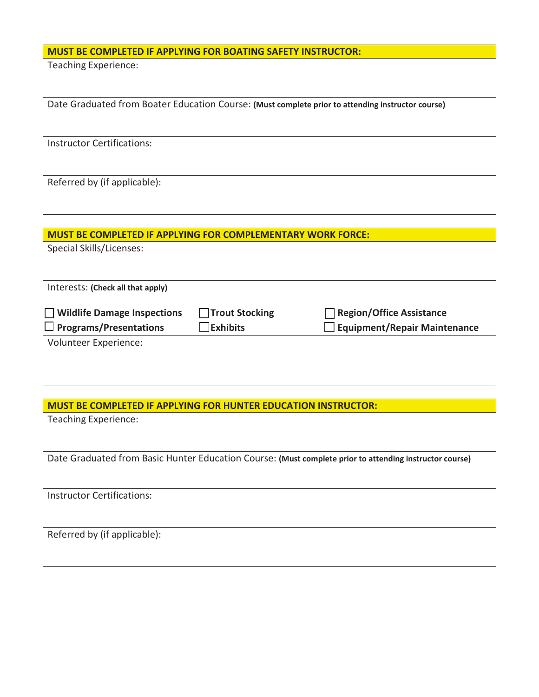## **MUST BE COMPLETED IF APPLYING FOR BOATING SAFETY INSTRUCTOR:**

Teaching Experience:

Date Graduated from Boater Education Course: **(Must complete prior to attending instructor course)** 

Instructor Certifications:

Referred by (if applicable):

| <b>MUST BE COMPLETED IF APPLYING FOR COMPLEMENTARY WORK FORCE:</b> |                    |                                     |
|--------------------------------------------------------------------|--------------------|-------------------------------------|
| Special Skills/Licenses:                                           |                    |                                     |
|                                                                    |                    |                                     |
|                                                                    |                    |                                     |
| Interests: (Check all that apply)                                  |                    |                                     |
| <b>Wildlife Damage Inspections</b>                                 | □ Trout Stocking   | <b>Region/Office Assistance</b>     |
| $\Box$ Programs/Presentations                                      | $\exists$ Exhibits | <b>Equipment/Repair Maintenance</b> |
| Volunteer Experience:                                              |                    |                                     |
|                                                                    |                    |                                     |
|                                                                    |                    |                                     |

**MUST BE COMPLETED IF APPLYING FOR HUNTER EDUCATION INSTRUCTOR:** 

| Teaching Experience:                                                                                    |
|---------------------------------------------------------------------------------------------------------|
|                                                                                                         |
| Date Graduated from Basic Hunter Education Course: (Must complete prior to attending instructor course) |
| <b>Instructor Certifications:</b>                                                                       |
| Referred by (if applicable):                                                                            |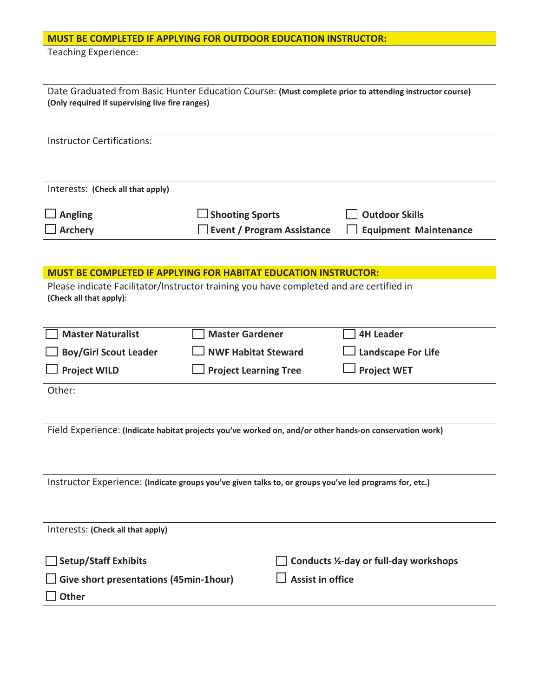|                                                                                                         | <b>MUST BE COMPLETED IF APPLYING FOR OUTDOOR EDUCATION INSTRUCTOR:</b> |                              |  |  |
|---------------------------------------------------------------------------------------------------------|------------------------------------------------------------------------|------------------------------|--|--|
| <b>Teaching Experience:</b>                                                                             |                                                                        |                              |  |  |
|                                                                                                         |                                                                        |                              |  |  |
|                                                                                                         |                                                                        |                              |  |  |
| Date Graduated from Basic Hunter Education Course: (Must complete prior to attending instructor course) |                                                                        |                              |  |  |
| (Only required if supervising live fire ranges)                                                         |                                                                        |                              |  |  |
|                                                                                                         |                                                                        |                              |  |  |
|                                                                                                         |                                                                        |                              |  |  |
| Instructor Certifications:                                                                              |                                                                        |                              |  |  |
|                                                                                                         |                                                                        |                              |  |  |
|                                                                                                         |                                                                        |                              |  |  |
| Interests: (Check all that apply)                                                                       |                                                                        |                              |  |  |
|                                                                                                         |                                                                        |                              |  |  |
| <b>Angling</b>                                                                                          | $\Box$ Shooting Sports                                                 | <b>Outdoor Skills</b>        |  |  |
| <b>Archery</b>                                                                                          | <b>Event / Program Assistance</b>                                      | <b>Equipment Maintenance</b> |  |  |

| <b>MUST BE COMPLETED IF APPLYING FOR HABITAT EDUCATION INSTRUCTOR:</b>                                             |                              |  |                                        |  |  |
|--------------------------------------------------------------------------------------------------------------------|------------------------------|--|----------------------------------------|--|--|
| Please indicate Facilitator/Instructor training you have completed and are certified in<br>(Check all that apply): |                              |  |                                        |  |  |
|                                                                                                                    |                              |  |                                        |  |  |
| <b>Master Naturalist</b>                                                                                           | <b>Master Gardener</b>       |  | <b>4H Leader</b>                       |  |  |
| <b>Boy/Girl Scout Leader</b>                                                                                       | <b>NWF Habitat Steward</b>   |  | <b>Landscape For Life</b>              |  |  |
| <b>Project WILD</b>                                                                                                | <b>Project Learning Tree</b> |  | <b>Project WET</b>                     |  |  |
| Other:                                                                                                             |                              |  |                                        |  |  |
|                                                                                                                    |                              |  |                                        |  |  |
| Field Experience: (Indicate habitat projects you've worked on, and/or other hands-on conservation work)            |                              |  |                                        |  |  |
| Instructor Experience: (Indicate groups you've given talks to, or groups you've led programs for, etc.)            |                              |  |                                        |  |  |
| Interests: (Check all that apply)                                                                                  |                              |  |                                        |  |  |
| <b>Setup/Staff Exhibits</b>                                                                                        |                              |  | Conducts 1/2-day or full-day workshops |  |  |
| <b>Assist in office</b><br>Give short presentations (45min-1hour)                                                  |                              |  |                                        |  |  |
| <b>Other</b>                                                                                                       |                              |  |                                        |  |  |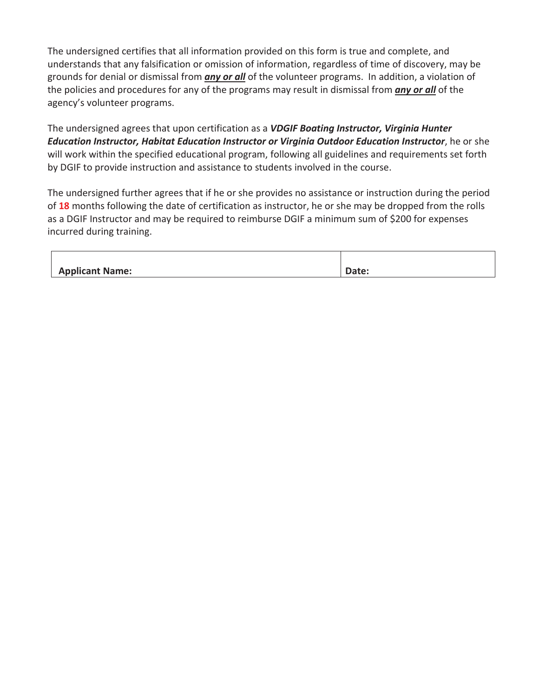The undersigned certifies that all information provided on this form is true and complete, and understands that any falsification or omission of information, regardless of time of discovery, may be grounds for denial or dismissal from *any or all* of the volunteer programs. In addition, a violation of the policies and procedures for any of the programs may result in dismissal from *any or all* of the agency's volunteer programs.

The undersigned agrees that upon certification as a *VDGIF Boating Instructor, Virginia Hunter Education Instructor, Habitat Education Instructor or Virginia Outdoor Education Instructor*, he or she will work within the specified educational program, following all guidelines and requirements set forth by DGIF to provide instruction and assistance to students involved in the course.

The undersigned further agrees that if he or she provides no assistance or instruction during the period of **18** months following the date of certification as instructor, he or she may be dropped from the rolls as a DGIF Instructor and may be required to reimburse DGIF a minimum sum of \$200 for expenses incurred during training.

| <b>Applicant Name:</b> | Date: |
|------------------------|-------|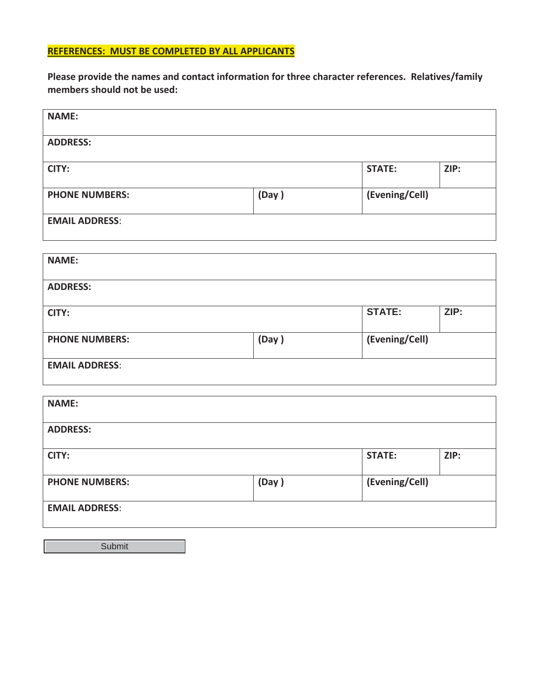## **REFERENCES: MUST BE COMPLETED BY ALL APPLICANTS**

**Please provide the names and contact information for three character references. Relatives/family members should not be used:** 

| <b>NAME:</b>          |       |                |      |  |  |
|-----------------------|-------|----------------|------|--|--|
| <b>ADDRESS:</b>       |       |                |      |  |  |
| <b>CITY:</b>          |       | <b>STATE:</b>  | ZIP: |  |  |
| <b>PHONE NUMBERS:</b> | (Day) | (Evening/Cell) |      |  |  |
| <b>EMAIL ADDRESS:</b> |       |                |      |  |  |
| <b>NAME:</b>          |       |                |      |  |  |
|                       |       |                |      |  |  |
| <b>ADDRESS:</b>       |       |                |      |  |  |
| CITY:                 |       | <b>STATE:</b>  | ZIP: |  |  |
| <b>PHONE NUMBERS:</b> | (Day) | (Evening/Cell) |      |  |  |
| <b>EMAIL ADDRESS:</b> |       |                |      |  |  |
| <b>NAME:</b>          |       |                |      |  |  |
|                       |       |                |      |  |  |
| <b>ADDRESS:</b>       |       |                |      |  |  |
| <b>CITY:</b>          |       | <b>STATE:</b>  | ZIP: |  |  |
| <b>PHONE NUMBERS:</b> | (Day) | (Evening/Cell) |      |  |  |
| <b>EMAIL ADDRESS:</b> |       |                |      |  |  |
|                       |       |                |      |  |  |

**Submit**